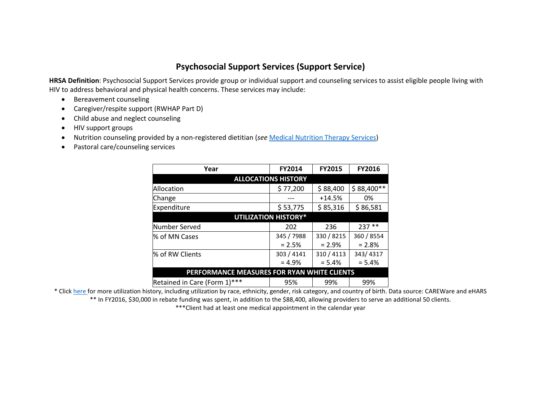## **Psychosocial Support Services (Support Service)**

**HRSA Definition**: Psychosocial Support Services provide group or individual support and counseling services to assist eligible people living with HIV to address behavioral and physical health concerns. These services may include:

- Bereavement counseling
- Caregiver/respite support (RWHAP Part D)
- Child abuse and neglect counseling
- HIV support groups
- Nutrition counseling provided by a non-registered dietitian (*see* [Medical Nutrition Therapy Services\)](http://www.mnhivcouncil.org/uploads/3/4/7/5/34759483/2017.09.12_na_e_service_area_presentation.pdf)
- Pastoral care/counseling services

| Year                                        | <b>FY2014</b> | <b>FY2015</b> | <b>FY2016</b> |
|---------------------------------------------|---------------|---------------|---------------|
| <b>ALLOCATIONS HISTORY</b>                  |               |               |               |
| Allocation                                  | \$77,200      | \$88,400      | $$88,400**$   |
| Change                                      |               | $+14.5%$      | 0%            |
| Expenditure                                 | \$53,775      | \$85,316      | \$86,581      |
| <b>UTILIZATION HISTORY*</b>                 |               |               |               |
| Number Served                               | 202           | 236           | $237**$       |
| % of MN Cases                               | 345 / 7988    | 330 / 8215    | 360 / 8554    |
|                                             | $= 2.5%$      | $= 2.9\%$     | $= 2.8%$      |
| % of RW Clients                             | 303 / 4141    | 310 / 4113    | 343/4317      |
|                                             | $= 4.9%$      | $= 5.4%$      | $= 5.4%$      |
| PERFORMANCE MEASURES FOR RYAN WHITE CLIENTS |               |               |               |
| Retained in Care (Form 1)***                | 95%           | 99%           | 99%           |

\* Clic[k here f](http://mnhivcouncil.org/uploads/3/4/6/1/3461530/sars_support_service_2015.pdf)or more utilization history, including utilization by race, ethnicity, gender, risk category, and country of birth. Data source: CAREWare and eHARS \*\* In FY2016, \$30,000 in rebate funding was spent, in addition to the \$88,400, allowing providers to serve an additional 50 clients.

\*\*\*Client had at least one medical appointment in the calendar year